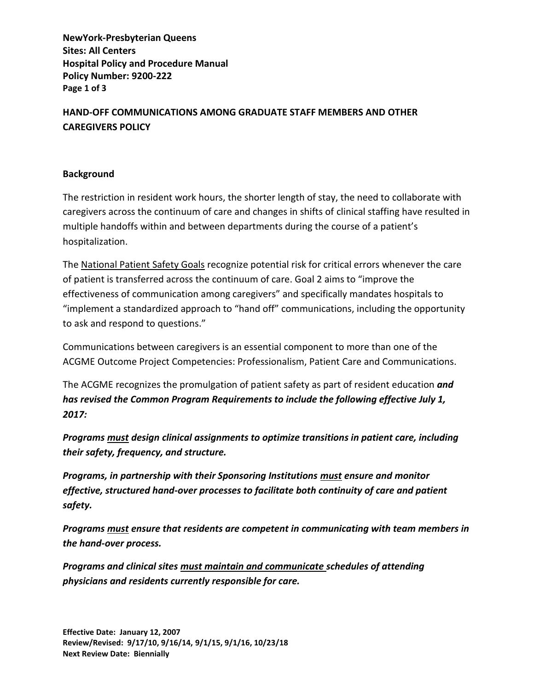**NewYork-Presbyterian Queens Sites: All Centers Hospital Policy and Procedure Manual Policy Number: 9200-222 Page 1 of 3**

**HAND-OFF COMMUNICATIONS AMONG GRADUATE STAFF MEMBERS AND OTHER CAREGIVERS POLICY**

## **Background**

The restriction in resident work hours, the shorter length of stay, the need to collaborate with caregivers across the continuum of care and changes in shifts of clinical staffing have resulted in multiple handoffs within and between departments during the course of a patient's hospitalization.

The National Patient Safety Goals recognize potential risk for critical errors whenever the care of patient is transferred across the continuum of care. Goal 2 aims to "improve the effectiveness of communication among caregivers" and specifically mandates hospitals to "implement a standardized approach to "hand off" communications, including the opportunity to ask and respond to questions."

Communications between caregivers is an essential component to more than one of the ACGME Outcome Project Competencies: Professionalism, Patient Care and Communications.

The ACGME recognizes the promulgation of patient safety as part of resident education *and has revised the Common Program Requirements to include the following effective July 1, 2017:*

*Programs must design clinical assignments to optimize transitions in patient care, including their safety, frequency, and structure.* 

*Programs, in partnership with their Sponsoring Institutions must ensure and monitor effective, structured hand-over processes to facilitate both continuity of care and patient safety.*

*Programs must ensure that residents are competent in communicating with team members in the hand-over process.*

*Programs and clinical sites must maintain and communicate schedules of attending physicians and residents currently responsible for care.*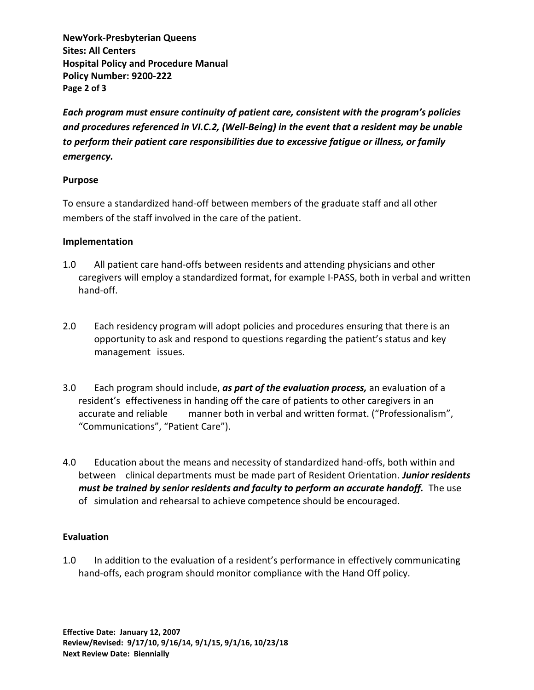**NewYork-Presbyterian Queens Sites: All Centers Hospital Policy and Procedure Manual Policy Number: 9200-222 Page 2 of 3**

*Each program must ensure continuity of patient care, consistent with the program's policies and procedures referenced in VI.C.2, (Well-Being) in the event that a resident may be unable to perform their patient care responsibilities due to excessive fatigue or illness, or family emergency.* 

## **Purpose**

To ensure a standardized hand-off between members of the graduate staff and all other members of the staff involved in the care of the patient.

## **Implementation**

- 1.0 All patient care hand-offs between residents and attending physicians and other caregivers will employ a standardized format, for example I-PASS, both in verbal and written hand-off.
- 2.0 Each residency program will adopt policies and procedures ensuring that there is an opportunity to ask and respond to questions regarding the patient's status and key management issues.
- 3.0 Each program should include, *as part of the evaluation process,* an evaluation of a resident's effectiveness in handing off the care of patients to other caregivers in an accurate and reliable manner both in verbal and written format. ("Professionalism", "Communications", "Patient Care").
- 4.0 Education about the means and necessity of standardized hand-offs, both within and between clinical departments must be made part of Resident Orientation. *Junior residents must be trained by senior residents and faculty to perform an accurate handoff.* The use of simulation and rehearsal to achieve competence should be encouraged.

## **Evaluation**

1.0 In addition to the evaluation of a resident's performance in effectively communicating hand-offs, each program should monitor compliance with the Hand Off policy.